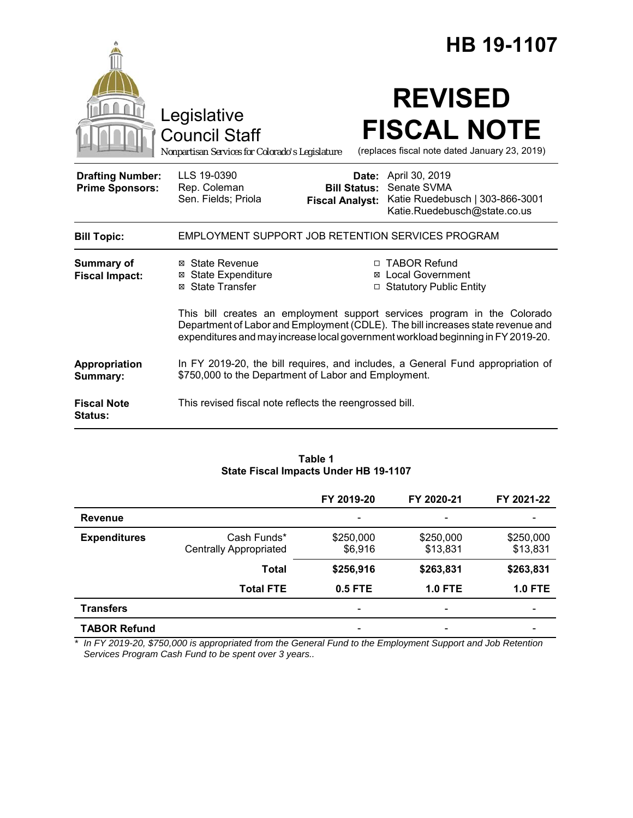|                                                   |                                                                                                                                                                                                                                                 |                                               | HB 19-1107                                                                                             |  |
|---------------------------------------------------|-------------------------------------------------------------------------------------------------------------------------------------------------------------------------------------------------------------------------------------------------|-----------------------------------------------|--------------------------------------------------------------------------------------------------------|--|
|                                                   | Legislative<br><b>Council Staff</b><br>Nonpartisan Services for Colorado's Legislature                                                                                                                                                          |                                               | <b>REVISED</b><br><b>FISCAL NOTE</b><br>(replaces fiscal note dated January 23, 2019)                  |  |
| <b>Drafting Number:</b><br><b>Prime Sponsors:</b> | LLS 19-0390<br>Rep. Coleman<br>Sen. Fields; Priola                                                                                                                                                                                              | <b>Bill Status:</b><br><b>Fiscal Analyst:</b> | Date: April 30, 2019<br>Senate SVMA<br>Katie Ruedebusch   303-866-3001<br>Katie.Ruedebusch@state.co.us |  |
| <b>Bill Topic:</b>                                | EMPLOYMENT SUPPORT JOB RETENTION SERVICES PROGRAM                                                                                                                                                                                               |                                               |                                                                                                        |  |
| <b>Summary of</b><br><b>Fiscal Impact:</b>        | ⊠ State Revenue<br><b>⊠</b> State Expenditure<br>⊠ State Transfer                                                                                                                                                                               |                                               | □ TABOR Refund<br><b>⊠</b> Local Government<br>□ Statutory Public Entity                               |  |
|                                                   | This bill creates an employment support services program in the Colorado<br>Department of Labor and Employment (CDLE). The bill increases state revenue and<br>expenditures and may increase local government workload beginning in FY 2019-20. |                                               |                                                                                                        |  |
| Appropriation<br>Summary:                         | In FY 2019-20, the bill requires, and includes, a General Fund appropriation of<br>\$750,000 to the Department of Labor and Employment.                                                                                                         |                                               |                                                                                                        |  |
| <b>Fiscal Note</b><br><b>Status:</b>              | This revised fiscal note reflects the reengrossed bill.                                                                                                                                                                                         |                                               |                                                                                                        |  |

#### **Table 1 State Fiscal Impacts Under HB 19-1107**

|                     |                                              | FY 2019-20               | FY 2020-21            | FY 2021-22                   |
|---------------------|----------------------------------------------|--------------------------|-----------------------|------------------------------|
| <b>Revenue</b>      |                                              | $\overline{\phantom{0}}$ |                       | $\overline{\phantom{0}}$     |
| <b>Expenditures</b> | Cash Funds*<br><b>Centrally Appropriated</b> | \$250,000<br>\$6,916     | \$250,000<br>\$13,831 | \$250,000<br>\$13,831        |
|                     | <b>Total</b>                                 | \$256,916                | \$263,831             | \$263,831                    |
|                     | <b>Total FTE</b>                             | 0.5 FTE                  | <b>1.0 FTE</b>        | <b>1.0 FTE</b>               |
| <b>Transfers</b>    |                                              | $\overline{\phantom{0}}$ |                       | $\qquad \qquad \blacksquare$ |
| <b>TABOR Refund</b> |                                              |                          |                       |                              |

*\* In FY 2019-20, \$750,000 is appropriated from the General Fund to the Employment Support and Job Retention Services Program Cash Fund to be spent over 3 years..*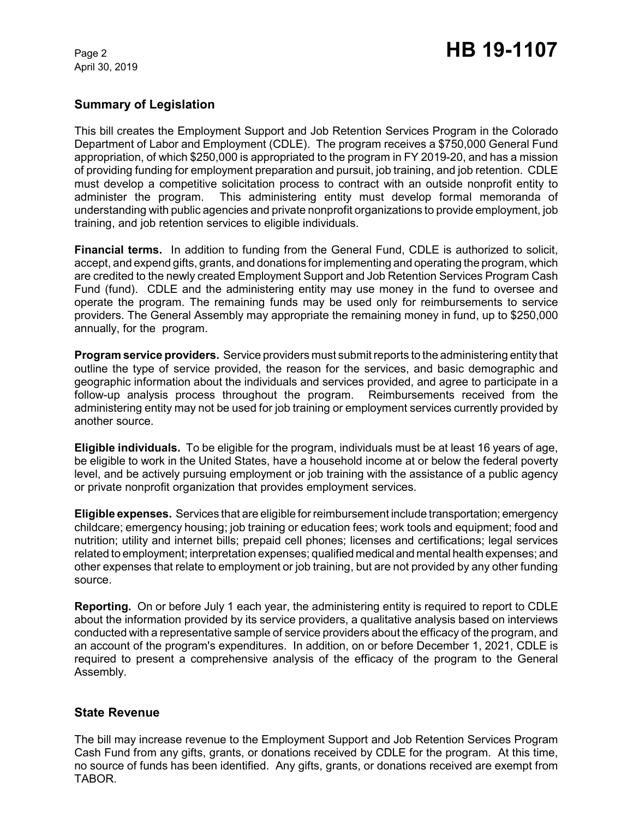April 30, 2019

## **Summary of Legislation**

This bill creates the Employment Support and Job Retention Services Program in the Colorado Department of Labor and Employment (CDLE). The program receives a \$750,000 General Fund appropriation, of which \$250,000 is appropriated to the program in FY 2019-20, and has a mission of providing funding for employment preparation and pursuit, job training, and job retention. CDLE must develop a competitive solicitation process to contract with an outside nonprofit entity to administer the program. This administering entity must develop formal memoranda of understanding with public agencies and private nonprofit organizations to provide employment, job training, and job retention services to eligible individuals.

**Financial terms.** In addition to funding from the General Fund, CDLE is authorized to solicit, accept, and expend gifts, grants, and donations for implementing and operating the program, which are credited to the newly created Employment Support and Job Retention Services Program Cash Fund (fund). CDLE and the administering entity may use money in the fund to oversee and operate the program. The remaining funds may be used only for reimbursements to service providers. The General Assembly may appropriate the remaining money in fund, up to \$250,000 annually, for the program.

**Program service providers.** Service providers must submit reports to the administering entity that outline the type of service provided, the reason for the services, and basic demographic and geographic information about the individuals and services provided, and agree to participate in a follow-up analysis process throughout the program. Reimbursements received from the administering entity may not be used for job training or employment services currently provided by another source.

**Eligible individuals.** To be eligible for the program, individuals must be at least 16 years of age, be eligible to work in the United States, have a household income at or below the federal poverty level, and be actively pursuing employment or job training with the assistance of a public agency or private nonprofit organization that provides employment services.

**Eligible expenses.** Services that are eligible for reimbursement include transportation; emergency childcare; emergency housing; job training or education fees; work tools and equipment; food and nutrition; utility and internet bills; prepaid cell phones; licenses and certifications; legal services related to employment; interpretation expenses; qualified medical and mental health expenses; and other expenses that relate to employment or job training, but are not provided by any other funding source.

**Reporting.** On or before July 1 each year, the administering entity is required to report to CDLE about the information provided by its service providers, a qualitative analysis based on interviews conducted with a representative sample of service providers about the efficacy of the program, and an account of the program's expenditures. In addition, on or before December 1, 2021, CDLE is required to present a comprehensive analysis of the efficacy of the program to the General Assembly.

### **State Revenue**

The bill may increase revenue to the Employment Support and Job Retention Services Program Cash Fund from any gifts, grants, or donations received by CDLE for the program. At this time, no source of funds has been identified. Any gifts, grants, or donations received are exempt from TABOR.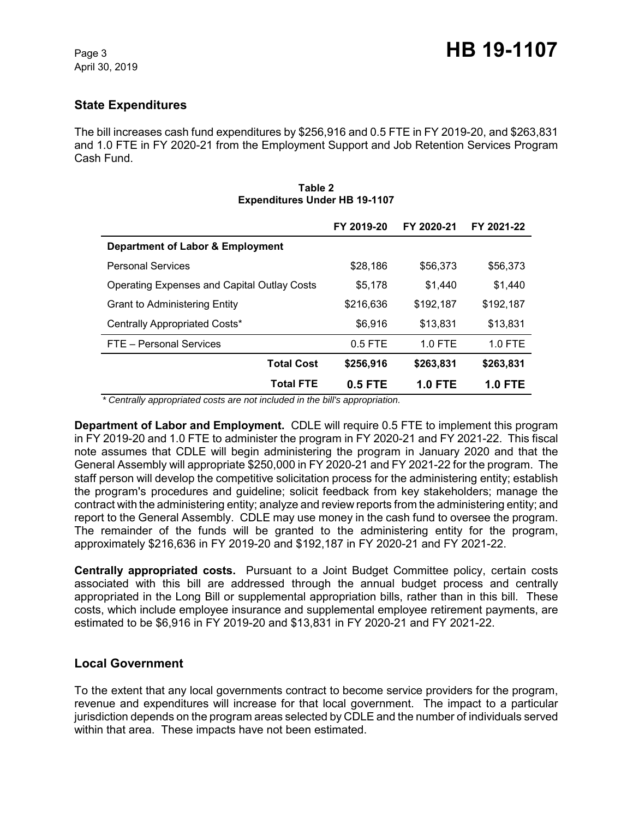## **State Expenditures**

The bill increases cash fund expenditures by \$256,916 and 0.5 FTE in FY 2019-20, and \$263,831 and 1.0 FTE in FY 2020-21 from the Employment Support and Job Retention Services Program Cash Fund.

|                                                    | FY 2019-20 | FY 2020-21     | FY 2021-22     |
|----------------------------------------------------|------------|----------------|----------------|
| Department of Labor & Employment                   |            |                |                |
| <b>Personal Services</b>                           | \$28,186   | \$56,373       | \$56,373       |
| <b>Operating Expenses and Capital Outlay Costs</b> | \$5,178    | \$1.440        | \$1,440        |
| <b>Grant to Administering Entity</b>               | \$216,636  | \$192,187      | \$192,187      |
| Centrally Appropriated Costs*                      | \$6,916    | \$13,831       | \$13,831       |
| FTE - Personal Services                            | $0.5$ FTE  | $1.0$ FTE      | 1.0 FTE        |
| <b>Total Cost</b>                                  | \$256,916  | \$263,831      | \$263,831      |
| <b>Total FTE</b>                                   | 0.5 FTE    | <b>1.0 FTE</b> | <b>1.0 FTE</b> |

#### **Table 2 Expenditures Under HB 19-1107**

 *\* Centrally appropriated costs are not included in the bill's appropriation.*

**Department of Labor and Employment.** CDLE will require 0.5 FTE to implement this program in FY 2019-20 and 1.0 FTE to administer the program in FY 2020-21 and FY 2021-22. This fiscal note assumes that CDLE will begin administering the program in January 2020 and that the General Assembly will appropriate \$250,000 in FY 2020-21 and FY 2021-22 for the program. The staff person will develop the competitive solicitation process for the administering entity; establish the program's procedures and guideline; solicit feedback from key stakeholders; manage the contract with the administering entity; analyze and review reports from the administering entity; and report to the General Assembly. CDLE may use money in the cash fund to oversee the program. The remainder of the funds will be granted to the administering entity for the program, approximately \$216,636 in FY 2019-20 and \$192,187 in FY 2020-21 and FY 2021-22.

**Centrally appropriated costs.** Pursuant to a Joint Budget Committee policy, certain costs associated with this bill are addressed through the annual budget process and centrally appropriated in the Long Bill or supplemental appropriation bills, rather than in this bill. These costs, which include employee insurance and supplemental employee retirement payments, are estimated to be \$6,916 in FY 2019-20 and \$13,831 in FY 2020-21 and FY 2021-22.

### **Local Government**

To the extent that any local governments contract to become service providers for the program, revenue and expenditures will increase for that local government. The impact to a particular jurisdiction depends on the program areas selected by CDLE and the number of individuals served within that area. These impacts have not been estimated.